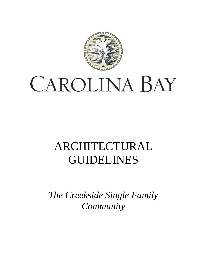

# CAROLINA BAY

# ARCHITECTURAL GUIDELINES

*The Creekside Single Family Community*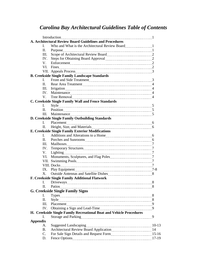### *Carolina Bay Architectural Guidelines Table of Contents*

|                 |              | A. Architectural Review Board Guidelines and Procedures             |  |
|-----------------|--------------|---------------------------------------------------------------------|--|
|                 | L.           |                                                                     |  |
|                 | П.           |                                                                     |  |
|                 | III.         | Scope of Architectural Review Board<br>2                            |  |
|                 | IV.          |                                                                     |  |
|                 | V.           |                                                                     |  |
|                 | VI.          |                                                                     |  |
|                 |              |                                                                     |  |
|                 |              | <b>B. Creekside Single Family Landscape Standards</b>               |  |
|                 | L            |                                                                     |  |
|                 | $\Pi$ .      |                                                                     |  |
|                 | III.         |                                                                     |  |
|                 | IV.          |                                                                     |  |
|                 | V.           |                                                                     |  |
|                 |              | C. Creekside Single Family Wall and Fence Standards                 |  |
|                 | L            |                                                                     |  |
|                 | $\Pi$ .      |                                                                     |  |
|                 | III.         |                                                                     |  |
|                 |              | D. Creekside Single Family Outbuilding Standards                    |  |
|                 | L            |                                                                     |  |
|                 | П.           |                                                                     |  |
|                 |              | E. Creekside Single Family Exterior Modifications                   |  |
|                 | $\mathbf{L}$ |                                                                     |  |
|                 | П.           |                                                                     |  |
|                 | III.         |                                                                     |  |
|                 | IV.          |                                                                     |  |
|                 | V.           |                                                                     |  |
|                 | VI.          |                                                                     |  |
|                 |              |                                                                     |  |
|                 |              |                                                                     |  |
|                 |              | IX. Play Equipment 2-8                                              |  |
|                 | X.           |                                                                     |  |
|                 |              | F. Creekside Single Family Additional Flatwork                      |  |
|                 | L.           |                                                                     |  |
|                 |              | II. Patios 38                                                       |  |
|                 |              | <b>G. Creekside Single Family Signs</b>                             |  |
|                 | L.           |                                                                     |  |
|                 | П.           |                                                                     |  |
|                 | III.         |                                                                     |  |
|                 | IV.          |                                                                     |  |
|                 |              | H. Creekside Single Family Recreational Boat and Vehicle Procedures |  |
|                 | L            |                                                                     |  |
| <b>Appendix</b> |              |                                                                     |  |
|                 | А.           |                                                                     |  |
|                 | <b>B.</b>    | Architectural Review Board Application [14] 14                      |  |
|                 | $C_{\cdot}$  |                                                                     |  |
|                 | D.           |                                                                     |  |
|                 |              |                                                                     |  |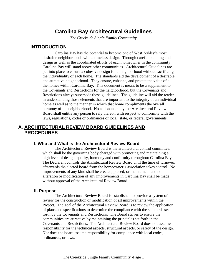### **Carolina Bay Architectural Guidelines**

*The Creekside Single Family Community*

#### **INTRODUCTION**

Carolina Bay has the potential to become one of West Ashley's most desirable neighborhoods with a timeless design. Through careful planning and design as well as the coordinated efforts of each homeowner in the community Carolina Bay will stand above other communities. Architectural Guidelines are put into place to ensure a cohesive design for a neighborhood without sacrificing the individuality of each home. The standards aid the development of a desirable and attractive neighborhood. They ensure, enhance, and protect the value of all the homes within Carolina Bay. This document is meant to be a supplement to the Covenants and Restrictions for the neighborhood, but the Covenants and Restrictions always supersede these guidelines. The guideline will aid the reader in understanding those elements that are important to the integrity of an individual home as well as to the manner in which that home compliments the overall harmony of the neighborhood. No action taken by the Architectural Review Board shall entitle any person to rely thereon with respect to conformity with the laws, regulations, codes or ordinances of local, state, or federal governments.

#### **A. ARCHITECTURAL REVIEW BOARD GUIDELINES AND PROCEDURES**

#### **I. Who and What is the Architectural Review Board**

The Architectural Review Board is the architectural control committee, which shall be the governing body charged with promoting and maintaining a high level of design, quality, harmony and conformity throughout Carolina Bay. The Declarant controls the Architectural Review Board until the time of turnover; afterwards the elected board from the homeowner's association takes control. No improvements of any kind shall be erected, placed, or maintained, and no alteration or modification of any improvements in Carolina Bay shall be made without approval of the Architectural Review Board.

#### **II. Purpose**

The Architectural Review Board is established to provide a system of review for the construction or modification of all improvements within the Project. The goal of the Architectural Review Board is to review the application of plans and specifications to determine the compliance with the standards set forth by the Covenants and Restrictions. The Board strives to ensure the communities are attractive by maintaining the principles set forth in the Covenants and Restrictions. The Architectural Review Board does not assume responsibility for the technical aspects, structural aspects, or safety of the design. Nor does the board assume responsibility for compliance with local codes, ordinances, or laws.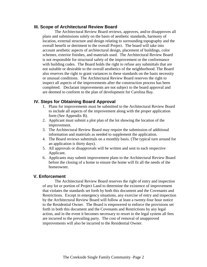#### **III. Scope of Architectural Review Board**

The Architectural Review Board reviews, approves, and/or disapproves all plans and submissions solely on the basis of aesthetic standards, harmony of location, external structure and design relating to surrounding topography and the overall benefit or detriment to the overall Project. The board will take into account aesthetic aspects of architectural design, placement of buildings, color schemes, exterior finishes, and materials used. The Architectural Review Board is not responsible for structural safety of the improvement or the conformance with building codes. The Board holds the right to refuse any submittals that are not suitable or desirable to the overall aesthetics of the neighborhood. The Board also reserves the right to grant variances to these standards on the basis necessity or unusual conditions. The Architectural Review Board reserves the right to inspect all aspects of the improvements after the construction process has been completed. Declarant improvements are not subject to the board approval and are deemed to conform to the plan of development for Carolina Bay.

#### **IV. Steps for Obtaining Board Approval**

- 1. Plans for improvements must be submitted to the Architectural Review Board to include all aspects of the improvement along with the proper application form (See Appendix B).
- 2. Applicant must submit a plot plan of the lot showing the location of the improvement.
- 3. The Architectural Review Board may require the submission of additional information and materials as needed to supplement the application.
- 4. The Board reviews submittals on a monthly basis. (The typical turn around for an application is thirty days).
- 5. All approvals or disapprovals will be written and sent to each respective Applicant.
- 6. Applicants may submit improvement plans to the Architectural Review Board before the closing of a home to ensure the home will fit all the needs of the homeowner.

#### **V. Enforcement**

The Architectural Review Board reserves the right of entry and inspection of any lot or portion of Project Land to determine the existence of improvement that violates the standards set forth by both this document and the Covenants and Restrictions. Except in emergency situations, any exercise of entry and inspection by the Architectural Review Board will follow at least a twenty-four hour notice to the Residential Owner. The Board is empowered to enforce the provisions set forth in both this document and the Covenants and Restrictions by any legal action, and in the event it becomes necessary to resort to the legal system all fees are incurred to the prevailing party. The cost of removal of unapproved improvements will also be incurred to the Residential Owner.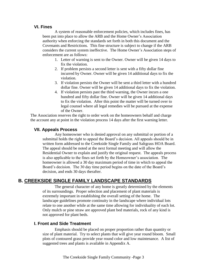#### **VI. Fines**

A system of reasonable enforcement policies, which includes fines, has been put into place to allow the ARB and the Home Owner's Association authority when enforcing the standards set forth in both this document and the Covenants and Restrictions. This fine structure is subject to change if the ARB considers the current system ineffective. The Home Owner's Association steps of enforcement are as follows:

- 1. Letter of warning is sent to the Owner. Owner will be given 14 days to fix the violation.
- 2. If problem persists a second letter is sent with a fifty dollar fine incurred by Owner. Owner will be given 14 additional days to fix the violation.
- 3. If violation persists the Owner will be sent a third letter with a hundred dollar fine. Owner will be given 14 additional days to fix the violation.
- 4. If violation persists past the third warning, the Owner incurs a one hundred and fifty dollar fine. Owner will be given 14 additional days to fix the violation. After this point the matter will be turned over to legal counsel where all legal remedies will be pursued at the expense of the Owner.

The Association reserves the right to order work on the homeowners behalf and charge the account any at point in the violation process 14 days after the first warning letter.

#### **VII. Appeals Process**

Any homeowner who is denied approval on any submittal or portion of a submittal holds the right to appeal the Board's decision. All appeals should be in written form addressed to the Creekside Single Family and Saltgrass HOA Board. The appeal should be noted at the next formal meeting and will allow the Residential Owner to explain and justify the original request. The appeals process is also applicable to the fines set forth by the Homeowner's association. The homeowner is allowed a 30 day maximum period of time in which to appeal the Board's decision. The 30 day time period begins on the date of the Board's decision, and ends 30 days therafter.

#### **B. CREEKSIDE SINGLE FAMILY LANDSCAPE STANDARDS**

The general character of any home is greatly determined by the elements of its surroundings. Proper selection and placement of plant materials is extremely important in establishing the overall setting of the home. The landscape guidelines promote continuity in the landscape where individual lots relate to one another while at the same time allowing for individuality of each lot. Only mulch or pine straw are approved plant bed materials, rock of any kind is not approved for plant beds.

#### **I. Front and Side Treatment**

Emphasis should be placed on proper proportion rather than quantity or size of plant material. Try to select plants that will give year round bloom. Small plots of contoured grass provide year round color and low maintenance. A list of suggested trees and plants is available in Appendix A.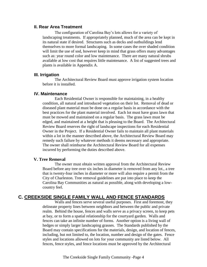#### **II. Rear Area Treatment**

The configuration of Carolina Bay's lots allows for a variety of landscaping treatments. If appropriately planned, much of the area can be kept in its natural state if desired. Structures such as decks and outbuildings lend themselves to more formal landscaping. In some cases the over shaded condition will limit the use of sod, however keep in mind that grass offers many advantages such as: year round color and low maintenance. There are many natural shrubs available at low cost that requires little maintenance. A list of suggested trees and plants is available in Appendix A.

#### **III. Irrigation**

The Architectural Review Board must approve irrigation system location before it is installed.

#### **IV. Maintenance**

Each Residential Owner is responsible for maintaining, in a healthy condition, all natural and introduced vegetation on their lot. Removal of dead or diseased plant material must be done on a regular basis in accordance with the best practices for the plant material involved. Each lot must have grass lawn that must be mowed and maintained on a regular basis. The grass lawn must be edged, and maintained at a height that is pleasing to the Board. The Architectural Review Board reserves the right of landscape inspections for each Residential Owner in the Project. If a Residential Owner fails to maintain all plant materials within a lot in the manner described above, the Architectural Review Board may remedy such failure by whatever methods it deems necessary and appropriate. The owner shall reimburse the Architectural Review Board for all expenses incurred by performing the duties described above.

#### **V. Tree Removal**

The owner must obtain written approval from the Architectural Review Board before any tree over six inches in diameter is removed from any lot., a tree that is twenty-four inches in diameter or more will also require a permit from the City of Charleston. Tree removal guidelines are put into place to keep the Carolina Bay Communities as natural as possible, along with developing a lowcountry feel.

#### **C. CREEKSIDE SINGLE FAMILY WALL AND FENCE STANDARDS**

Walls and fences serve several useful purposes. First and foremost, they delineate property lines between neighbors and between the public and private realm. Behind the house, fences and walls serve as a privacy screen, to keep pets at bay, or to form a spatial relationship for the courtyard garden. Walls and fences can take an infinite number of forms. Another option is a living wall of hedges or simply larger landscaping grasses. The Standards published by the Board may contain specifications for the materials, design, and location of fences, including, but not limited to, the location, number and design of the gates. Fence styles and locations allowed on lots for your community are listed below. All fences, fence styles, and fence locations must be approved by the Architectural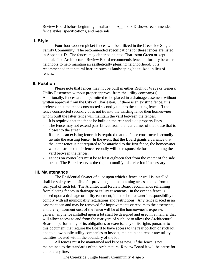Review Board before beginning installation. Appendix D shows recommended fence styles, specifications, and materials.

#### **I. Style**

Four-foot wooden picket fences will be utilized in the Creekside Single Family Community. The recommended specifications for these fences are listed in Appendix D. The fences may either be painted Charleston Green or kept natural. The Architectural Review Board recommends fence uniformity between neighbors to help maintain an aesthetically pleasing neighborhood. It is recommended that natural barriers such as landscaping be utilized in lieu of fences.

#### **II. Position**

Please note that fences may not be built in either Right of Ways or General Utility Easements without proper approval from the utility company(s). Additionally, fences are not permitted to be placed in a drainage easement without written approval from the City of Charleston. If there is an existing fence, it is preferred that the fence constructed secondly tie into the existing fence. If the fence constructed secondly does not tie into the existing fence then homeowner whom built the latter fence will maintain the yard between the fences.

- It is required that the fence be built on the rear and side property lines.
- The fence may not extend past 15 feet from the rear corner of the house that is closest to the street.
- If there is an existing fence, it is required that the fence constructed secondly tie into the existing fence. In the event that the Board grants a variance that the latter fence is not required to be attached to the first fence, the homeowner who constructed their fence secondly will be responsible for maintaining the yard between the fences.
- Fences on corner lots must be at least eighteen feet from the center of the side street. The Board reserves the right to modify this criterion if necessary.

#### **III. Maintenance**

The Residential Owner of a lot upon which a fence or wall is installed shall be solely responsible for providing and maintaining access to and from the rear yard of such lot. The Architectural Review Board recommends refraining from placing fences in drainage or utility easements. In the event a fence is placed upon a drainage or utility easement, it is the homeowner's responsibility to comply with all municipality regulations and restrictions. Any fence placed in an easement can and may be removed for improvements or repairs to the easements, and the replacement cost of the fence will be at the homeowner's expense. In general, any fence installed upon a lot shall be designed and used in a manner that will allow access to and from the rear yard of such lot to allow the Architectural Board to perform any of its obligations or exercise any of its rights pursuant to this document that require the Board to have access to the rear portion of such lot and to allow public utility companies to inspect, maintain and repair any utility facilities located within the boundary of the lot.

All fences must be maintained and kept as new. If the fence is not maintained to the standards of the Architectural Review Board it will be cause for a monetary fine.

The Creekside Single Family Community -Page 5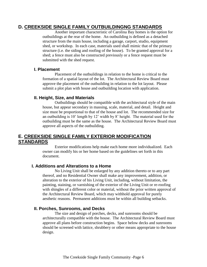#### **D. CREEKSIDE SINGLE FAMILY OUTBUILDINGNG STANDARDS**

Another important characteristic of Carolina Bay homes is the option for outbuildings at the rear of the home. An outbuilding is defined as a detached structure from the main house, including a garage, carport, studio, equipment shed, or workshop. In each case, materials used shall mimic that of the primary structure (i.e. the siding and roofing of the house). To be granted approval for a shed; a fence must also be constructed previously or a fence request must be submitted with the shed request.

#### **I. Placement**

Placement of the outbuildings in relation to the home is critical to the formation of a spatial layout of the lot. The Architectural Review Board must approve the placement of the outbuilding in relation to the lot layout. Please submit a plot plan with house and outbuilding location with application.

#### **II. Height, Size, and Materials**

Outbuildings should be compatible with the architectural style of the main house, but appear secondary in massing, scale, material, and detail. Height and size must be proportional to that of the house and lot. The recommended size for an outbuilding is 10' length by 12' width by 8' height. The material used for the outbuilding must be the same as the house. The Architectural Review Board must approve all aspects of the outbuilding.

#### **E. CREEKSIDE SINGLE FAMILY EXTERIOR MODIFICATION STANDARDS**

Exterior modifications help make each home more individualized. Each owner can modify his or her home based on the guidelines set forth in this document.

#### **I. Additions and Alterations to a Home**

No Living Unit shall be enlarged by any addition thereto or to any part thereof, and no Residential Owner shall make any improvement, addition, or alteration to the exterior of his Living Unit, including, without limitation, the painting, staining, or varnishing of the exterior of the Living Unit or re-roofing with shingles of a different color or material, without the prior written approval of the Architectural Review Board, which may withhold approval for purely aesthetic reasons. Permanent additions must be within all building setbacks.

#### **II. Porches, Sunrooms, and Decks**

The size and design of porches, decks, and sunrooms should be architecturally compatible with the house. The Architectural Review Board must approve all plans before construction begins. Space below decks and sunrooms should be screened with lattice, shrubbery or other means appropriate to the house design.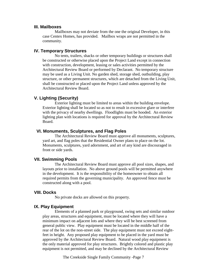#### **III. Mailboxes**

Mailboxes may not deviate from the one the original Developer, in this case Centex Homes, has provided. Mailbox wraps are not permitted in the community.

#### **IV. Temporary Structures**

No tents, trailers, shacks or other temporary buildings or structures shall be constructed or otherwise placed upon the Project Land except in connection with construction, development, leasing or sales activities permitted by the Architectural Review Board or performed by Declarant. No temporary structure may be used as a Living Unit. No garden shed, storage shed, outbuilding, play structure, or other permanent structures, which are detached from the Living Unit, shall be constructed or placed upon the Project Land unless approved by the Architectural Review Board.

#### **V. Lighting (Security)**

Exterior lighting must be limited to areas within the building envelope. Exterior lighting shall be located so as not to result in excessive glare or interfere with the privacy of nearby dwellings. Floodlights must be hooded. An exterior lighting plan with locations is required for approval by the Architectural Review Board.

#### **VI. Monuments, Sculptures, and Flag Poles**

The Architectural Review Board must approve all monuments, sculptures, yard art, and flag poles that the Residential Owner plans to place on the lot. Monuments, sculptures, yard adornment, and art of any kind are discouraged in front or side yards.

#### **VII. Swimming Pools**

The Architectural Review Board must approve all pool sizes, shapes, and layouts prior to installation. No above ground pools will be permitted anywhere in the development. It is the responsibility of the homeowner to obtain all required permits from the governing municipality. An approved fence must be constructed along with a pool.

#### **VIII. Docks**

No private docks are allowed on this property.

#### **IX. Play Equipment**

Elements of a planned park or playground, swing sets and similar outdoor play areas, structures and equipment, must be located where they will have a minimum impact on adjacent lots and where they will be best screened from general public view. Play equipment must be located in the middle half of the rear of the lot on the non-street side. The play equipment must not exceed eightfeet in height. Any proposed play equipment to be placed in the yard must be approved by the Architectural Review Board. Natural wood play equipment is the only material approved for play structures. Brightly colored and plastic play equipment is not permitted, and may be declined by the Architectural Review

The Creekside Single Family Community -Page 7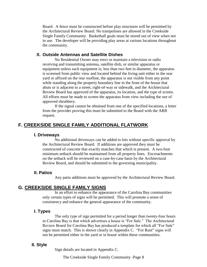Board. A fence must be constructed before play structures will be permitted by the Architectural Review Board. No trampolines are allowed in the Creekside Single Family Community. Basketball goals must be stored out of view when not in use. The developer will be providing play areas at various locations throughout the community.

#### **X. Outside Antennas and Satellite Dishes**

No Residential Owner may erect or maintain a television or radio receiving and transmitting antenna, satellite dish, or similar apparatus or equipment unless such equipment is; less than two feet in diameter, the apparatus is screened from public view and located behind the living unit either in the rear yard or affixed on the rear roofline, the apparatus is not visible from any point while standing along the property boundary line in the front of the house that abuts or is adjacent to a street, right-of-way or sidewalk, and the Architectural Review Board has approved of the apparatus, its location, and the type of screen. All efforts must be made to screen the apparatus from view including the use of approved shrubbery.

If the signal cannot be obtained from one of the specified locations, a letter from the provider proving this must be submitted to the Board with the ARB request.

#### **F. CREEKSIDE SINGLE FAMILY ADDITIONAL FLATWORK**

#### **I. Driveways**

No additional driveways can be added to lots without specific approval by the Architectural Review Board. If additions are approved they must be constructed of concrete that exactly matches that which is present. A two-foot minimum setback should be maintained from all property lines. Encroachments on the setback will be reviewed on a case-by-case basis by the Architectural Review Board, and should be submitted to the governing municipality.

#### **II. Patios**

Any patio additions must be approved by the Architectural Review Board.

#### **G. CREEKSIDE SINGLE FAMILY SIGNS**

In an effort to enhance the appearance of the Carolina Bay communities only certain types of signs will be permitted. This will promote a sense of consistency and enhance the general appearance of the community.

#### **I. Types**

The only type of sign permitted for a period longer than twenty-four hours in Carolina Bay is that which advertises a house is "For Sale." The Architectural Review Board for Carolina Bay has produced a template for which all "For Sale" signs must match. This is shown clearly in Appendix C. "For Rent" signs will not be permitted either in the yard or in house within these communities.

#### **II. Style**

Sign details are located in Appendix C.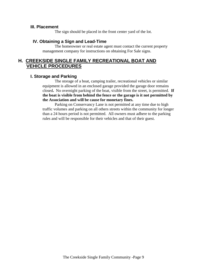#### **III. Placement**

The sign should be placed in the front center yard of the lot.

#### **IV. Obtaining a Sign and Lead-Time**

The homeowner or real estate agent must contact the current property management company for instructions on obtaining For Sale signs.

#### **H. CREEKSIDE SINGLE FAMILY RECREATIONAL BOAT AND VEHICLE PROCEDURES**

#### **I. Storage and Parking**

The storage of a boat, camping trailer, recreational vehicles or similar equipment is allowed in an enclosed garage provided the garage door remains closed**.** No overnight parking of the boat, visible from the street, is permitted. **If the boat is visible from behind the fence or the garage is it not permitted by the Association and will be cause for monetary fines.**

Parking on Conservancy Lane is not permitted at any time due to high traffic volumes and parking on all others streets within the community for longer than a 24 hours period is not permitted. All owners must adhere to the parking rules and will be responsible for their vehicles and that of their guest.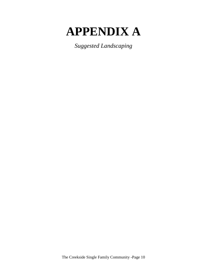# **APPENDIX A**

*Suggested Landscaping*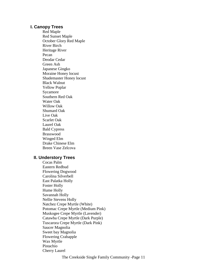#### **I. Canopy Trees**

Red Maple Red Sunset Maple October Glory Red Maple River Birch Heritage River Pecan Deodar Cedar Green Ash Japanese Gingko Moraine Honey locust Shademaster Honey locust Black Walnut Yellow Poplar Sycamore Southern Red Oak Water Oak Willow Oak Shumard Oak Live Oak Scarlet Oak Laurel Oak Bald Cypress Brasswood Winged Elm Drake Chinese Elm Breen Vase Zelcova

#### **II. Understory Trees**

Cocas Palm Eastern Redbud Flowering Dogwood Carolina Silverbell East Palatka Holly Foster Holly Hume Holly Savannah Holly Nellie Stevens Holly Natchez Crepe Myrtle (White) Potomac Crepe Myrtle (Medium Pink) Muskogee Crepe Myrtle (Lavender) Catawba Crepe Myrtle (Dark Purple) Tuscarora Crepe Myrtle (Dark Pink) Saucer Magnolia Sweet bay Magnolia Flowering Crabapple Wax Myrtle Pistachio Cherry Laurel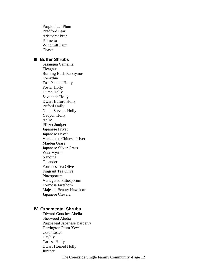Purple Leaf Plum Bradford Pear Aristocrat Pear Palmetto Windmill Palm **Chaste** 

#### **III. Buffer Shrubs**

Sasanqua Camellia Eleagnus Burning Bush Euonymus Forsythia East Palatka Holly Foster Holly Hume Holly Savannah Holly Dwarf Buford Holly Buford Holly Nellie Stevens Holly Yaupon Holly Anise Pfitzer Juniper Japanese Privet Japanese Privet Variegated Chinese Privet Maiden Grass Japanese Silver Grass Wax Myrtle Nandina Oleander Fortunes Tea Olive Fragrant Tea Olive Pittosporum Variegated Pittosporum Formosa Firethorn Majestic Beauty Hawthorn Japanese Cleyera

#### **IV. Ornamental Shrubs**

Edward Goucher Abelia Sherwood Abelia Purple leaf Japanese Barberry Harrington Plum-Yew Cotoneaster Daylily Carissa Holly Dwarf Horned Holly Juniper

The Creekside Single Family Community -Page 12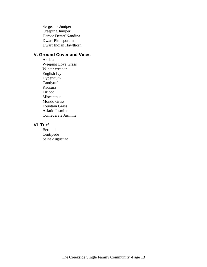Sergeants Juniper Creeping Juniper Harbor Dwarf Nandina Dwarf Pittosporum Dwarf Indian Hawthorn

#### **V. Ground Cover and Vines**

Akebia Weeping Love Grass Winter creeper English Ivy Hypericum Candytuft Kadsura Liriope Miscanthus Mondo Grass Fountain Grass Asiatic Jasmine Confederate Jasmine

#### **VI. Turf**

Bermuda Centipede Saint Augustine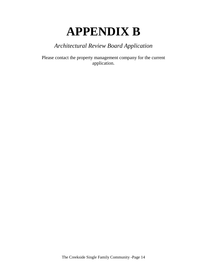### **APPENDIX B**

### *Architectural Review Board Application*

Please contact the property management company for the current application.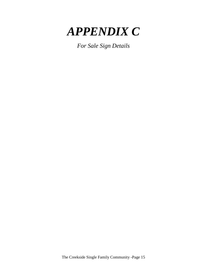

*For Sale Sign Details*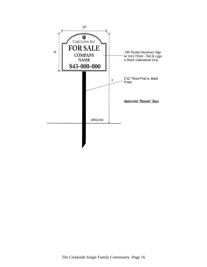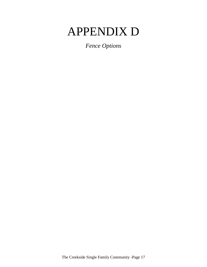## APPENDIX D

*Fence Options*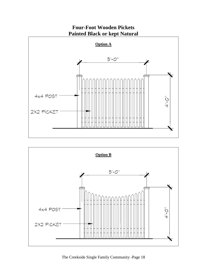